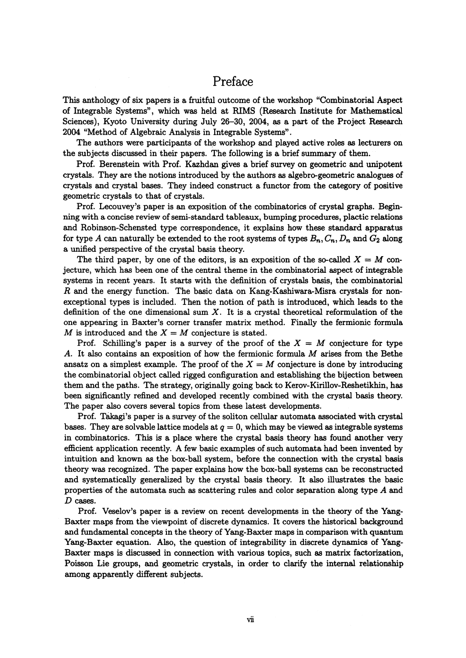## Preface

This anthology of six papers is a fruitful outcome of the workshop "Combinatorial Aspect of Integrable Systems", which was held at RIMS (Research Institute for Mathematical Sciences), Kyoto University during July 26-30, 2004, as a part of the Project Research 2004 "Method of Algebraic Analysis in Integrable Systems".

The authors were participants of the workshop and played active roles as lecturers on the subjects discussed in their papers. The following is a brief summary of them.

Prof. Berenstein with Prof. Kazhdan gives a brief survey on geometric and unipotent crystals. They are the notions introduced by the authors as algebro-geometric analogues of crystals and crystal bases. They indeed construct a functor from the category of positive geometric crystals to that of crystals.

Prof. Lecouvey's paper is an exposition of the combinatorics of crystal graphs. Beginning with a concise review of semi-standard tableaux, bumping procedures, plactic relations and Robinson-Schensted type correspondence, it explains how these standard apparatus for type A can naturally be extended to the root systems of types  $B_{n}, C_{n}, D_{n}$  and  $G_{2}$  along a unified perspective of the crystal basis theory.

The third paper, by one of the editors, is an exposition of the so-called  $X=M$  conjecture, which has been one of the central theme in the combinatorial aspect of integrable systems in recent years. It starts with the definition of crystals basis, the combinatorial  $R$  and the energy function. The basic data on Kang-Kashiwara-Misra crystals for nonexceptional types is included. Then the notion of path is introduced, which leads to the definition of the one dimensional sum  $X$ . It is a crystal theoretical reformulation of the one appearing in Baxter's comer transfer matrix method. Finally the fermionic formula M is introduced and the  $X=M$  conjecture is stated.

Prof. Schilling's paper is a survey of the proof of the  $X=M$  conjecture for type A. It also contains an exposition of how the fermionic formula  $M$  arises from the Bethe ansatz on a simplest example. The proof of the  $X=M$  conjecture is done by introducing the combinatorial object called rigged configuration and establishing the bijection between them and the paths. The strategy, originally going back to Kerov-Kirillov-Reshetikhin, has been significantly refined and developed recently combined with the crystal basis theory. The paper also covers several topics from these latest developments.

Prof. Takagi's paper is a survey of the soliton cellular automata associated with crystal bases. They are solvable lattice models at  $q=0$ , which may be viewed as integrable systems in combinatorics. This is a place where the crystal basis theory has found another very efficient application recently. A few basic examples of such automata had been invented by intuition and known as the box-ball system, before the connection with the crystal basis theory was recognized. The paper explains how the box-ball systems can be reconstructed and systematically generalized by the crystal basis theory. It also illustrates the basic properties of the automata such as scattering rules and color separation along type  $A$  and  $D$  cases.

Prof. Veselov's paper is a review on recent developments in the theory of the Yang-Baxter maps from the viewpoint of discrete dynamics. It covers the historical background and fundamental concepts in the theory of Yang-Baxter maps in comparison with quantum Yang-Baxter equation. Also, the question of integrability in discrete dynamics of Yang-Baxter maps is discussed in connection with various topics, such as matrix factorization, Poisson Lie groups, and geometric crystals, in order to clarify the internal relationship among apparently different subjects.